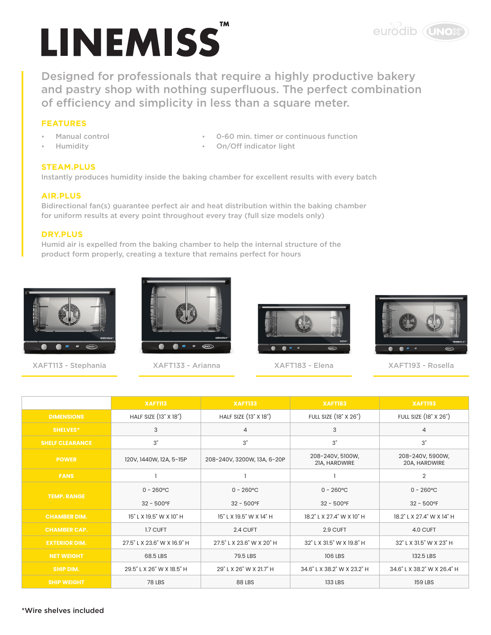# **LINEMISS**

Designed for professionals that require a highly productive bakery and pastry shop with nothing superfluous. The perfect combination of efficiency and simplicity in less than a square meter.

# **FEATURES**

- Manual control
- Humidity
- 0-60 min. timer or continuous function
- On/Off indicator light

### **STEAM.PLUS**

Instantly produces humidity inside the baking chamber for excellent results with every batch

### **AIR.PLUS**

Bidirectional fan(s) guarantee perfect air and heat distribution within the baking chamber for uniform results at every point throughout every tray (full size models only)

### **DRY.PLUS**

Humid air is expelled from the baking chamber to help the internal structure of the product form properly, creating a texture that remains perfect for hours



XAFT113 - Stephania XAFT133 - Arianna XAFT183 - Elena XAFT193 - Rosella







eurodib (UNOX<sup>°</sup>

|                        | XAFTII3                     | <b>XAFT133</b><br><b>XAFT183</b> |                                   | <b>XAFT193</b>                    |  |  |
|------------------------|-----------------------------|----------------------------------|-----------------------------------|-----------------------------------|--|--|
| <b>DIMENSIONS</b>      | HALF SIZE (13" X 18")       | HALF SIZE (13" X 18")            | FULL SIZE (18" X 26")             | FULL SIZE (18" X 26")             |  |  |
| <b>SHELVES*</b>        | 3                           | $\overline{4}$                   | 3                                 | $\overline{4}$                    |  |  |
| <b>SHELF CLEARANCE</b> | 3"                          | 3"<br>3"                         |                                   | 3"                                |  |  |
| <b>POWER</b>           | 120V, 1440W, 12A, 5-15P     | 208-240V, 3200W, 13A, 6-20P      | 208-240V, 5100W,<br>21A, HARDWIRE | 208-240V, 5900W,<br>20A, HARDWIRE |  |  |
| <b>FANS</b>            |                             |                                  |                                   | 2                                 |  |  |
| <b>TEMP. RANGE</b>     | $0 - 260^{\circ}$ C         | $0 - 260^{\circ}$ C              | $0 - 260^{\circ}$ C               | $0 - 260^{\circ}$ C               |  |  |
|                        | $32 - 500$ °F               | $32 - 500$ °F                    | $32 - 500$ °F                     | $32 - 500$ °F                     |  |  |
| <b>CHAMBER DIM.</b>    | 15" L X 19.5" W X 10" H     | 15" L X 19.5" W X 14" H          | 18.2" L X 27.4" W X 10" H         | 18.2" L X 27.4" W X 14" H         |  |  |
| <b>CHAMBER CAP.</b>    | 1.7 CUFT                    | 2.4 CUFT                         | 2.9 CUFT                          | 4.0 CUFT                          |  |  |
| <b>EXTERIOR DIM.</b>   | 27.5" L X 23.6" W X 16.9" H | 27.5" L X 23.6" W X 20" H        | 32" L X 31.5" W X 19.8" H         | 32" L X 31.5" W X 23" H           |  |  |
| <b>NET WEIGHT</b>      | 68.5 LBS                    | 79.5 LBS                         | 106 LBS                           | 132.5 LBS                         |  |  |
| <b>SHIP DIM.</b>       | 29.5" L X 26" W X 18.5" H   | 29" L X 26" W X 21.7" H          | 34.6" L X 38.2" W X 23.2" H       | 34.6" L X 38.2" W X 26.4" H       |  |  |
| <b>SHIP WEIGHT</b>     | <b>78 LBS</b>               | 88 LBS                           | <b>133 LBS</b>                    | 159 LBS                           |  |  |